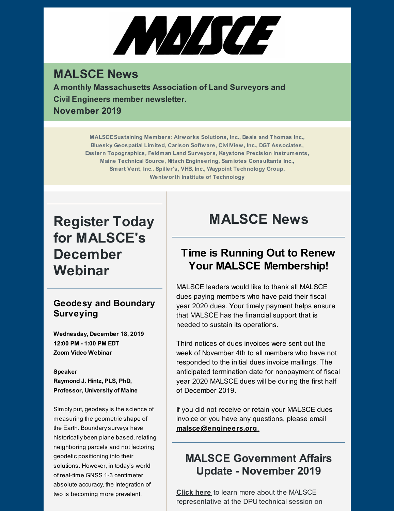# ANA/SCE

# **MALSCE News**

**A monthly Massachusetts Association of Land Surveyors and Civil Engineers member newsletter. November 2019**

> **MALSCESustaining Members: Airworks Solutions, Inc., Beals and Thomas Inc., Bluesky Geospatial Limited, Carlson Software, CivilView, Inc., DGT Associates, Eastern Topographics, Feldman Land Surveyors, Keystone Precision Instruments, Maine Technical Source, Nitsch Engineering, Samiotes Consultants Inc., Smart Vent, Inc., Spiller's, VHB, Inc., Waypoint Technology Group, Wentworth Institute of Technology**

# **Register Today for MALSCE's December Webinar**

#### **Geodesy and Boundary Surveying**

**Wednesday, December 18, 2019 12:00 PM - 1:00 PM EDT Zoom Video Webinar**

#### **Speaker**

**Raymond J. Hintz, PLS, PhD, Professor, University of Maine**

Simply put, geodesyis the science of measuring the geometric shape of the Earth. Boundary surveys have historically been plane based, relating neighboring parcels and not factoring geodetic positioning into their solutions. However, in today's world of real-time GNSS 1-3 centimeter absolute accuracy, the integration of two is becoming more prevalent.

# **MALSCE News**

# **Time is Running Out to Renew Your MALSCE Membership!**

MALSCE leaders would like to thank all MALSCE dues paying members who have paid their fiscal year 2020 dues. Your timely payment helps ensure that MALSCE has the financial support that is needed to sustain its operations.

Third notices of dues invoices were sent out the week of November 4th to all members who have not responded to the initial dues invoice mailings. The anticipated termination date for nonpayment of fiscal year 2020 MALSCE dues will be during the first half of December 2019.

If you did not receive or retain your MALSCE dues invoice or you have any questions, please email **[malsce@engineers.org](mailto:malsce@engineers.org)**.

# **MALSCE Government Affairs Update - November 2019**

**[Click](https://www.malsce.org/news-publications/news/malsce-government-affairs-update-november-2019-2786) here** to learn more about the MALSCE representative at the DPU technical session on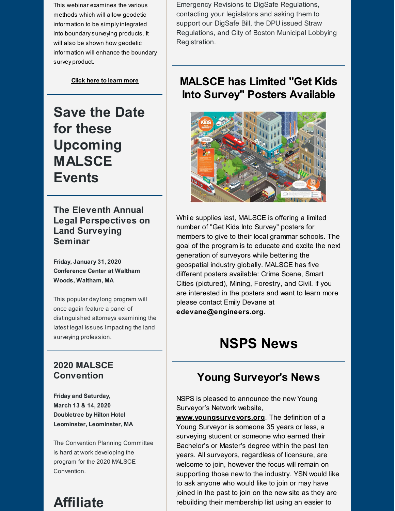This webinar examines the various methods which will allow geodetic information to be simplyintegrated into boundarysurveying products. It will also be shown how geodetic information will enhance the boundary survey product.

**Click here to [learn](https://files.engineers.org/file/12-18-19-Geodesy-And-Boundary-Surveying.pdf) more**

**Save the Date for these Upcoming MALSCE Events**

**The Eleventh Annual Legal Perspectives on Land Surveying Seminar**

**Friday, January 31, 2020 Conference Center at Waltham Woods, Waltham, MA**

This popular daylong program will once again feature a panel of distinguished attorneys examining the latest legal issues impacting the land surveying profession.

#### **2020 MALSCE Convention**

**Friday and Saturday, March 13 & 14, 2020 Doubletree by Hilton Hotel Leominster, Leominster, MA**

The Convention Planning Committee is hard at work developing the program for the 2020 MALSCE Convention.

# **Affiliate**

Emergency Revisions to DigSafe Regulations, contacting your legislators and asking them to support our DigSafe Bill, the DPU issued Straw Regulations, and City of Boston Municipal Lobbying Registration.

## **MALSCE has Limited "Get Kids Into Survey" Posters Available**



While supplies last, MALSCE is offering a limited number of "Get Kids Into Survey" posters for members to give to their local grammar schools. The goal of the program is to educate and excite the next generation of surveyors while bettering the geospatial industry globally. MALSCE has five different posters available: Crime Scene, Smart Cities (pictured), Mining, Forestry, and Civil. If you are interested in the posters and want to learn more please contact Emily Devane at **[edevane@engineers.org](mailto:edevane@engineers.org)**.

# **NSPS News**

# **Young Surveyor's News**

NSPS is pleased to announce the new Young Surveyor's Network website,

**[www.youngsurveyors.org](http://www.youngsurveyors.org/)**. The definition of a Young Surveyor is someone 35 years or less, a surveying student or someone who earned their Bachelor's or Master's degree within the past ten years. All surveyors, regardless of licensure, are welcome to join, however the focus will remain on supporting those new to the industry. YSN would like to ask anyone who would like to join or may have joined in the past to join on the new site as they are rebuilding their membership list using an easier to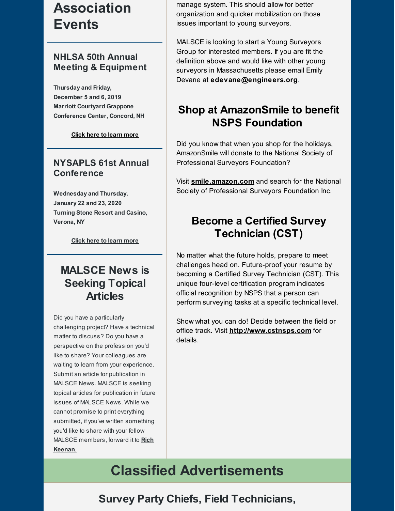# **Association Events**

#### **NHLSA 50th Annual Meeting & Equipment**

**Thursday and Friday, December 5 and 6, 2019 Marriott Courtyard Grappone Conference Center, Concord, NH**

**Click here to [learn](http://files.engineers.org/file/Annual-Brochure.pdf) more**

#### **NYSAPLS 61st Annual Conference**

**Wednesday and Thursday, January 22 and 23, 2020 Turning Stone Resort and Casino, Verona, NY**

**Click here to [learn](https://www.nysapls.org/events/EventDetails.aspx?id=1262646&group=) more**

# **MALSCE News is Seeking Topical Articles**

Did you have a particularly challenging project? Have a technical matter to discuss? Do you have a perspective on the profession you'd like to share? Your colleagues are waiting to learn from your experience. Submit an article for publication in MALSCE News. MALSCE is seeking topical articles for publication in future issues of MALSCE News. While we cannot promise to print everything submitted, if you've written something you'd like to share with your fellow MALSCE [members,](mailto:rkeenan@engineers.org) forward it to **Rich Keenan**.

manage system. This should allow for better organization and quicker mobilization on those issues important to young surveyors.

MALSCE is looking to start a Young Surveyors Group for interested members. If you are fit the definition above and would like with other young surveyors in Massachusetts please email Emily Devane at **[edevane@engineers.org](mailto:edevane@engineers.org)**.

## **Shop at AmazonSmile to benefit NSPS Foundation**

Did you know that when you shop for the holidays, AmazonSmile will donate to the National Society of Professional Surveyors Foundation?

Visit **[smile.amazon.com](http://smile.amazon.com)** and search for the National Society of Professional Surveyors Foundation Inc.

# **Become a Certified Survey Technician (CST)**

No matter what the future holds, prepare to meet challenges head on. Future-proof your resume by becoming a Certified Survey Technician (CST). This unique four-level certification program indicates official recognition by NSPS that a person can perform surveying tasks at a specific technical level.

Show what you can do! Decide between the field or office track. Visit **<http://www.cstnsps.com>** for details.

# **Classified Advertisements**

## **Survey Party Chiefs, Field Technicians,**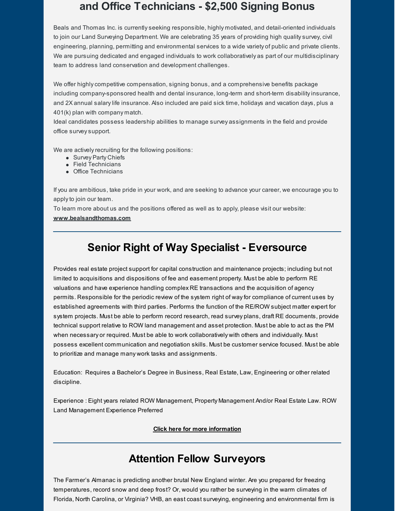## **and Office Technicians - \$2,500 Signing Bonus**

Beals and Thomas Inc. is currentlyseeking responsible, highly motivated, and detail-oriented individuals to join our Land Surveying Department. We are celebrating 35 years of providing high qualitysurvey, civil engineering, planning, permitting and environmental services to a wide variety of public and private clients. We are pursuing dedicated and engaged individuals to work collaboratively as part of our multidisciplinary team to address land conservation and development challenges.

We offer highly competitive compensation, signing bonus, and a comprehensive benefits package including company-sponsored health and dental insurance, long-term and short-term disabilityinsurance, and 2X annual salarylife insurance. Also included are paid sick time, holidays and vacation days, plus a 401(k) plan with company match.

Ideal candidates possess leadership abilities to manage survey assignments in the field and provide office surveysupport.

We are actively recruiting for the following positions:

- Survey Party Chiefs
- Field Technicians
- Office Technicians

If you are ambitious, take pride in your work, and are seeking to advance your career, we encourage you to applyto join our team.

To learn more about us and the positions offered as well as to apply, please visit our website:

#### **[www.bealsandthomas.com](http://www.bealsandthomas.com)**

## **Senior Right of Way Specialist - Eversource**

Provides real estate project support for capital construction and maintenance projects; including but not limited to acquisitions and dispositions of fee and easement property. Must be able to perform RE valuations and have experience handling complex RE transactions and the acquisition of agency permits. Responsible for the periodic review of the system right of wayfor compliance of current uses by established agreements with third parties. Performs the function of the RE/ROW subject matter expert for system projects. Must be able to perform record research, read survey plans, draft RE documents, provide technical support relative to ROW land management and asset protection. Must be able to act as the PM when necessary or required. Must be able to work collaboratively with others and individually. Must possess excellent communication and negotiation skills. Must be customer service focused. Must be able to prioritize and manage many work tasks and assignments.

Education: Requires a Bachelor's Degree in Business, Real Estate, Law, Engineering or other related discipline.

Experience : Eight years related ROW Management, Property Management And/or Real Estate Law. ROW Land Management Experience Preferred

**Click here for more [information](https://jobs.eversource.com/job/berlin/senior-right-of-way-specialist/7774/12069962)**

## **Attention Fellow Surveyors**

The Farmer's Almanac is predicting another brutal New England winter. Are you prepared for freezing temperatures, record snow and deep frost? Or, would you rather be surveying in the warm climates of Florida, North Carolina, or Virginia? VHB, an east coast surveying, engineering and environmental firm is